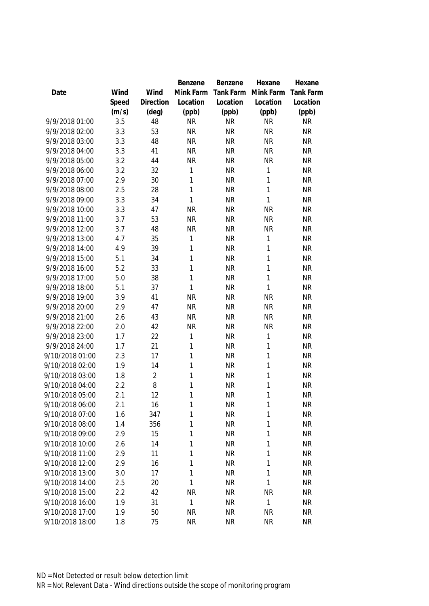|                 |       |                | Benzene      | Benzene   | Hexane    | Hexane           |
|-----------------|-------|----------------|--------------|-----------|-----------|------------------|
| Date            | Wind  | Wind           | Mink Farm    | Tank Farm | Mink Farm | <b>Tank Farm</b> |
|                 | Speed | Direction      | Location     | Location  | Location  | Location         |
|                 | (m/s) | (deg)          | (ppb)        | (ppb)     | (ppb)     | (ppb)            |
| 9/9/2018 01:00  | 3.5   | 48             | <b>NR</b>    | <b>NR</b> | <b>NR</b> | <b>NR</b>        |
| 9/9/2018 02:00  | 3.3   | 53             | <b>NR</b>    | <b>NR</b> | <b>NR</b> | <b>NR</b>        |
| 9/9/2018 03:00  | 3.3   | 48             | <b>NR</b>    | <b>NR</b> | <b>NR</b> | <b>NR</b>        |
| 9/9/2018 04:00  | 3.3   | 41             | <b>NR</b>    | <b>NR</b> | <b>NR</b> | <b>NR</b>        |
| 9/9/2018 05:00  | 3.2   | 44             | <b>NR</b>    | <b>NR</b> | <b>NR</b> | <b>NR</b>        |
| 9/9/2018 06:00  | 3.2   | 32             | 1            | <b>NR</b> | 1         | <b>NR</b>        |
| 9/9/2018 07:00  | 2.9   | 30             | $\mathbf{1}$ | <b>NR</b> | 1         | <b>NR</b>        |
| 9/9/2018 08:00  | 2.5   | 28             | 1            | <b>NR</b> | 1         | <b>NR</b>        |
| 9/9/2018 09:00  | 3.3   | 34             | 1            | <b>NR</b> | 1         | <b>NR</b>        |
| 9/9/2018 10:00  | 3.3   | 47             | <b>NR</b>    | <b>NR</b> | <b>NR</b> | <b>NR</b>        |
| 9/9/2018 11:00  | 3.7   | 53             | <b>NR</b>    | <b>NR</b> | <b>NR</b> | <b>NR</b>        |
| 9/9/2018 12:00  | 3.7   | 48             | <b>NR</b>    | <b>NR</b> | <b>NR</b> | <b>NR</b>        |
| 9/9/2018 13:00  | 4.7   | 35             | 1            | <b>NR</b> | 1         | <b>NR</b>        |
| 9/9/2018 14:00  | 4.9   | 39             | 1            | <b>NR</b> | 1         | <b>NR</b>        |
| 9/9/2018 15:00  | 5.1   | 34             | 1            | <b>NR</b> | 1         | <b>NR</b>        |
| 9/9/2018 16:00  | 5.2   | 33             | $\mathbf{1}$ | <b>NR</b> | 1         | <b>NR</b>        |
| 9/9/2018 17:00  | 5.0   | 38             | $\mathbf{1}$ | <b>NR</b> | 1         | <b>NR</b>        |
| 9/9/2018 18:00  | 5.1   | 37             | 1            | <b>NR</b> | 1         | <b>NR</b>        |
| 9/9/2018 19:00  | 3.9   | 41             | <b>NR</b>    | <b>NR</b> | <b>NR</b> | <b>NR</b>        |
| 9/9/2018 20:00  | 2.9   | 47             | <b>NR</b>    | <b>NR</b> | <b>NR</b> | <b>NR</b>        |
| 9/9/2018 21:00  | 2.6   | 43             | <b>NR</b>    | <b>NR</b> | <b>NR</b> | <b>NR</b>        |
| 9/9/2018 22:00  | 2.0   | 42             | <b>NR</b>    | <b>NR</b> | <b>NR</b> | <b>NR</b>        |
| 9/9/2018 23:00  | 1.7   | 22             | 1            | <b>NR</b> | 1         | <b>NR</b>        |
| 9/9/2018 24:00  | 1.7   | 21             | 1            | <b>NR</b> | 1         | <b>NR</b>        |
| 9/10/2018 01:00 | 2.3   | 17             | 1            | <b>NR</b> | 1         | <b>NR</b>        |
| 9/10/2018 02:00 | 1.9   | 14             | $\mathbf{1}$ | <b>NR</b> | 1         | <b>NR</b>        |
| 9/10/2018 03:00 | 1.8   | $\overline{2}$ | 1            | <b>NR</b> | 1         | <b>NR</b>        |
| 9/10/2018 04:00 | 2.2   | 8              | $\mathbf{1}$ | <b>NR</b> | 1         | <b>NR</b>        |
| 9/10/2018 05:00 | 2.1   | 12             | 1            | <b>NR</b> | 1         | <b>NR</b>        |
| 9/10/2018 06:00 | 2.1   | 16             | 1            | <b>NR</b> | 1         | <b>NR</b>        |
| 9/10/2018 07:00 | 1.6   | 347            | 1            | <b>NR</b> | 1         | <b>NR</b>        |
| 9/10/2018 08:00 | 1.4   | 356            | 1            | <b>NR</b> | 1         | <b>NR</b>        |
| 9/10/2018 09:00 | 2.9   | 15             | 1            | <b>NR</b> | 1         | <b>NR</b>        |
| 9/10/2018 10:00 | 2.6   | 14             | 1            | <b>NR</b> | 1         | <b>NR</b>        |
| 9/10/2018 11:00 | 2.9   | 11             | 1            | <b>NR</b> | 1         | <b>NR</b>        |
| 9/10/2018 12:00 | 2.9   |                | 1            | <b>NR</b> | 1         | <b>NR</b>        |
| 9/10/2018 13:00 | 3.0   | 16<br>17       | 1            | <b>NR</b> | 1         |                  |
|                 |       |                |              |           |           | <b>NR</b>        |
| 9/10/2018 14:00 | 2.5   | 20             | 1            | <b>NR</b> | 1         | <b>NR</b>        |
| 9/10/2018 15:00 | 2.2   | 42             | <b>NR</b>    | <b>NR</b> | <b>NR</b> | <b>NR</b>        |
| 9/10/2018 16:00 | 1.9   | 31             | 1            | <b>NR</b> | 1         | <b>NR</b>        |
| 9/10/2018 17:00 | 1.9   | 50             | <b>NR</b>    | <b>NR</b> | <b>NR</b> | <b>NR</b>        |
| 9/10/2018 18:00 | 1.8   | 75             | <b>NR</b>    | <b>NR</b> | <b>NR</b> | <b>NR</b>        |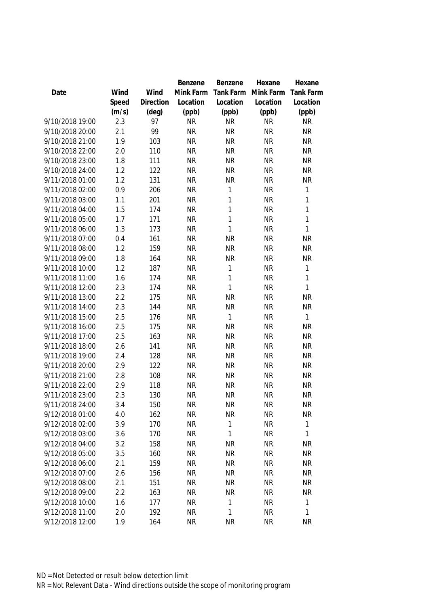|                 |       |           | Benzene   | Benzene   | Hexane    | Hexane           |
|-----------------|-------|-----------|-----------|-----------|-----------|------------------|
| Date            | Wind  | Wind      | Mink Farm | Tank Farm | Mink Farm | <b>Tank Farm</b> |
|                 | Speed | Direction | Location  | Location  | Location  | Location         |
|                 | (m/s) | (deg)     | (ppb)     | (ppb)     | (ppb)     | (ppb)            |
| 9/10/2018 19:00 | 2.3   | 97        | <b>NR</b> | <b>NR</b> | <b>NR</b> | <b>NR</b>        |
| 9/10/2018 20:00 | 2.1   | 99        | <b>NR</b> | <b>NR</b> | <b>NR</b> | <b>NR</b>        |
| 9/10/2018 21:00 | 1.9   | 103       | <b>NR</b> | <b>NR</b> | <b>NR</b> | <b>NR</b>        |
| 9/10/2018 22:00 | 2.0   | 110       | <b>NR</b> | <b>NR</b> | <b>NR</b> | <b>NR</b>        |
| 9/10/2018 23:00 | 1.8   | 111       | <b>NR</b> | <b>NR</b> | <b>NR</b> | <b>NR</b>        |
| 9/10/2018 24:00 | 1.2   | 122       | <b>NR</b> | <b>NR</b> | <b>NR</b> | <b>NR</b>        |
| 9/11/2018 01:00 | 1.2   | 131       | <b>NR</b> | <b>NR</b> | <b>NR</b> | <b>NR</b>        |
| 9/11/2018 02:00 | 0.9   | 206       | <b>NR</b> | 1         | <b>NR</b> | 1                |
| 9/11/2018 03:00 | 1.1   | 201       | <b>NR</b> | 1         | <b>NR</b> | 1                |
| 9/11/2018 04:00 | 1.5   | 174       | <b>NR</b> | 1         | <b>NR</b> | 1                |
| 9/11/2018 05:00 | 1.7   | 171       | <b>NR</b> | 1         | <b>NR</b> | 1                |
| 9/11/2018 06:00 | 1.3   | 173       | <b>NR</b> | 1         | <b>NR</b> | 1                |
| 9/11/2018 07:00 | 0.4   | 161       | <b>NR</b> | <b>NR</b> | <b>NR</b> | <b>NR</b>        |
| 9/11/2018 08:00 | 1.2   | 159       | <b>NR</b> | <b>NR</b> | <b>NR</b> | <b>NR</b>        |
| 9/11/2018 09:00 | 1.8   | 164       | <b>NR</b> | <b>NR</b> | <b>NR</b> | <b>NR</b>        |
| 9/11/2018 10:00 | 1.2   | 187       | <b>NR</b> | 1         | <b>NR</b> | 1                |
| 9/11/2018 11:00 | 1.6   | 174       | <b>NR</b> | 1         | <b>NR</b> | 1                |
| 9/11/2018 12:00 | 2.3   | 174       | <b>NR</b> | 1         | <b>NR</b> | 1                |
| 9/11/2018 13:00 | 2.2   | 175       | <b>NR</b> | <b>NR</b> | <b>NR</b> | <b>NR</b>        |
| 9/11/2018 14:00 | 2.3   | 144       | <b>NR</b> | <b>NR</b> | <b>NR</b> | <b>NR</b>        |
| 9/11/2018 15:00 | 2.5   | 176       | <b>NR</b> | 1         | <b>NR</b> | 1                |
| 9/11/2018 16:00 | 2.5   | 175       | <b>NR</b> | <b>NR</b> | <b>NR</b> | <b>NR</b>        |
| 9/11/2018 17:00 | 2.5   | 163       | <b>NR</b> | <b>NR</b> | <b>NR</b> | <b>NR</b>        |
| 9/11/2018 18:00 | 2.6   | 141       | <b>NR</b> | <b>NR</b> | <b>NR</b> | <b>NR</b>        |
| 9/11/2018 19:00 | 2.4   | 128       | <b>NR</b> | <b>NR</b> | <b>NR</b> | <b>NR</b>        |
| 9/11/2018 20:00 | 2.9   | 122       | <b>NR</b> | <b>NR</b> | <b>NR</b> | <b>NR</b>        |
| 9/11/2018 21:00 | 2.8   | 108       | <b>NR</b> | <b>NR</b> | <b>NR</b> | <b>NR</b>        |
| 9/11/2018 22:00 | 2.9   | 118       | <b>NR</b> | <b>NR</b> | <b>NR</b> | <b>NR</b>        |
| 9/11/2018 23:00 | 2.3   | 130       | <b>NR</b> | <b>NR</b> | <b>NR</b> | <b>NR</b>        |
| 9/11/2018 24:00 | 3.4   | 150       | <b>NR</b> | <b>NR</b> | <b>NR</b> | <b>NR</b>        |
| 9/12/2018 01:00 | 4.0   | 162       | <b>NR</b> | <b>NR</b> | <b>NR</b> | <b>NR</b>        |
| 9/12/2018 02:00 | 3.9   | 170       | <b>NR</b> | 1         | <b>NR</b> | 1                |
| 9/12/2018 03:00 | 3.6   | 170       | <b>NR</b> | 1         | <b>NR</b> | 1                |
| 9/12/2018 04:00 | 3.2   | 158       | <b>NR</b> | <b>NR</b> | <b>NR</b> | <b>NR</b>        |
| 9/12/2018 05:00 | 3.5   | 160       | <b>NR</b> | <b>NR</b> | <b>NR</b> | <b>NR</b>        |
| 9/12/2018 06:00 | 2.1   | 159       | <b>NR</b> | <b>NR</b> | <b>NR</b> | <b>NR</b>        |
| 9/12/2018 07:00 | 2.6   | 156       | <b>NR</b> | <b>NR</b> | <b>NR</b> | <b>NR</b>        |
| 9/12/2018 08:00 | 2.1   | 151       | <b>NR</b> | <b>NR</b> | <b>NR</b> | <b>NR</b>        |
| 9/12/2018 09:00 | 2.2   | 163       | <b>NR</b> | <b>NR</b> | <b>NR</b> | <b>NR</b>        |
| 9/12/2018 10:00 | 1.6   | 177       | <b>NR</b> | 1         | <b>NR</b> | 1                |
| 9/12/2018 11:00 | 2.0   | 192       | <b>NR</b> | 1         | <b>NR</b> | 1                |
| 9/12/2018 12:00 | 1.9   | 164       | <b>NR</b> | <b>NR</b> | <b>NR</b> | <b>NR</b>        |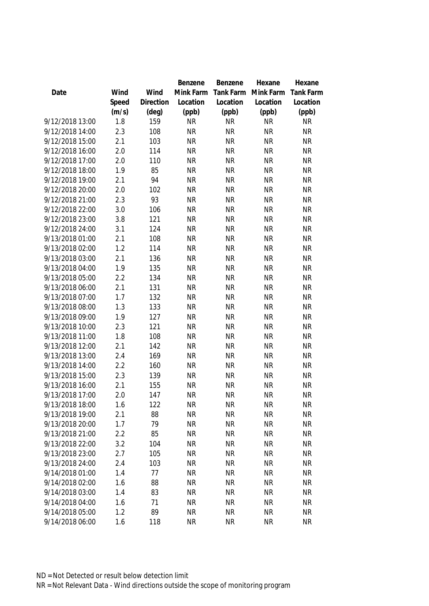|                 |       |                | Benzene   | Benzene   | Hexane    | Hexane           |
|-----------------|-------|----------------|-----------|-----------|-----------|------------------|
| Date            | Wind  | Wind           | Mink Farm | Tank Farm | Mink Farm | <b>Tank Farm</b> |
|                 | Speed | Direction      | Location  | Location  | Location  | Location         |
|                 | (m/s) | $(\text{deg})$ | (ppb)     | (ppb)     | (ppb)     | (ppb)            |
| 9/12/2018 13:00 | 1.8   | 159            | <b>NR</b> | <b>NR</b> | <b>NR</b> | <b>NR</b>        |
| 9/12/2018 14:00 | 2.3   | 108            | <b>NR</b> | <b>NR</b> | <b>NR</b> | <b>NR</b>        |
| 9/12/2018 15:00 | 2.1   | 103            | <b>NR</b> | <b>NR</b> | <b>NR</b> | <b>NR</b>        |
| 9/12/2018 16:00 | 2.0   | 114            | <b>NR</b> | <b>NR</b> | <b>NR</b> | <b>NR</b>        |
| 9/12/2018 17:00 | 2.0   | 110            | <b>NR</b> | <b>NR</b> | <b>NR</b> | <b>NR</b>        |
| 9/12/2018 18:00 | 1.9   | 85             | <b>NR</b> | <b>NR</b> | <b>NR</b> | <b>NR</b>        |
| 9/12/2018 19:00 | 2.1   | 94             | <b>NR</b> | <b>NR</b> | <b>NR</b> | <b>NR</b>        |
| 9/12/2018 20:00 | 2.0   | 102            | <b>NR</b> | <b>NR</b> | <b>NR</b> | <b>NR</b>        |
| 9/12/2018 21:00 | 2.3   | 93             | <b>NR</b> | <b>NR</b> | <b>NR</b> | <b>NR</b>        |
| 9/12/2018 22:00 | 3.0   | 106            | <b>NR</b> | <b>NR</b> | <b>NR</b> | <b>NR</b>        |
| 9/12/2018 23:00 | 3.8   | 121            | <b>NR</b> | <b>NR</b> | <b>NR</b> | <b>NR</b>        |
| 9/12/2018 24:00 | 3.1   | 124            | <b>NR</b> | <b>NR</b> | <b>NR</b> | <b>NR</b>        |
| 9/13/2018 01:00 | 2.1   | 108            | <b>NR</b> | <b>NR</b> | <b>NR</b> | <b>NR</b>        |
| 9/13/2018 02:00 | 1.2   | 114            | <b>NR</b> | <b>NR</b> | <b>NR</b> | <b>NR</b>        |
| 9/13/2018 03:00 | 2.1   | 136            | <b>NR</b> | <b>NR</b> | <b>NR</b> | <b>NR</b>        |
| 9/13/2018 04:00 | 1.9   | 135            | <b>NR</b> | <b>NR</b> | <b>NR</b> | <b>NR</b>        |
| 9/13/2018 05:00 | 2.2   | 134            | <b>NR</b> | <b>NR</b> | <b>NR</b> | <b>NR</b>        |
| 9/13/2018 06:00 | 2.1   | 131            | <b>NR</b> | <b>NR</b> | <b>NR</b> | <b>NR</b>        |
| 9/13/2018 07:00 | 1.7   | 132            | <b>NR</b> | <b>NR</b> | <b>NR</b> | <b>NR</b>        |
| 9/13/2018 08:00 | 1.3   | 133            | <b>NR</b> | <b>NR</b> | <b>NR</b> | <b>NR</b>        |
| 9/13/2018 09:00 | 1.9   | 127            | <b>NR</b> | <b>NR</b> | <b>NR</b> | <b>NR</b>        |
| 9/13/2018 10:00 | 2.3   | 121            | <b>NR</b> | <b>NR</b> | <b>NR</b> | <b>NR</b>        |
| 9/13/2018 11:00 | 1.8   | 108            | <b>NR</b> | <b>NR</b> | <b>NR</b> | <b>NR</b>        |
| 9/13/2018 12:00 | 2.1   | 142            | <b>NR</b> | <b>NR</b> | <b>NR</b> | <b>NR</b>        |
| 9/13/2018 13:00 | 2.4   | 169            | <b>NR</b> | <b>NR</b> | <b>NR</b> | <b>NR</b>        |
| 9/13/2018 14:00 | 2.2   | 160            | <b>NR</b> | <b>NR</b> | <b>NR</b> | <b>NR</b>        |
| 9/13/2018 15:00 | 2.3   | 139            | <b>NR</b> | <b>NR</b> | <b>NR</b> | <b>NR</b>        |
| 9/13/2018 16:00 | 2.1   | 155            | <b>NR</b> | <b>NR</b> | <b>NR</b> | <b>NR</b>        |
| 9/13/2018 17:00 | 2.0   | 147            | <b>NR</b> | <b>NR</b> | <b>NR</b> | <b>NR</b>        |
| 9/13/2018 18:00 | 1.6   | 122            | <b>NR</b> | NR        | <b>NR</b> | NR               |
| 9/13/2018 19:00 | 2.1   | 88             | <b>NR</b> | <b>NR</b> | <b>NR</b> | <b>NR</b>        |
| 9/13/2018 20:00 | 1.7   | 79             | <b>NR</b> | <b>NR</b> | <b>NR</b> | <b>NR</b>        |
| 9/13/2018 21:00 | 2.2   | 85             | <b>NR</b> | <b>NR</b> | <b>NR</b> | <b>NR</b>        |
| 9/13/2018 22:00 | 3.2   | 104            | NR        | NR        | <b>NR</b> | <b>NR</b>        |
| 9/13/2018 23:00 | 2.7   | 105            | <b>NR</b> | <b>NR</b> | <b>NR</b> | <b>NR</b>        |
| 9/13/2018 24:00 | 2.4   | 103            | <b>NR</b> | <b>NR</b> | <b>NR</b> | <b>NR</b>        |
| 9/14/2018 01:00 | 1.4   | 77             | <b>NR</b> | <b>NR</b> | <b>NR</b> | <b>NR</b>        |
| 9/14/2018 02:00 | 1.6   | 88             | <b>NR</b> | NR        | <b>NR</b> | <b>NR</b>        |
| 9/14/2018 03:00 | 1.4   | 83             | <b>NR</b> | <b>NR</b> | <b>NR</b> | <b>NR</b>        |
| 9/14/2018 04:00 | 1.6   | 71             | <b>NR</b> | <b>NR</b> | <b>NR</b> | <b>NR</b>        |
| 9/14/2018 05:00 | 1.2   | 89             | <b>NR</b> | <b>NR</b> | <b>NR</b> | <b>NR</b>        |
| 9/14/2018 06:00 | 1.6   | 118            | <b>NR</b> | <b>NR</b> | <b>NR</b> | <b>NR</b>        |